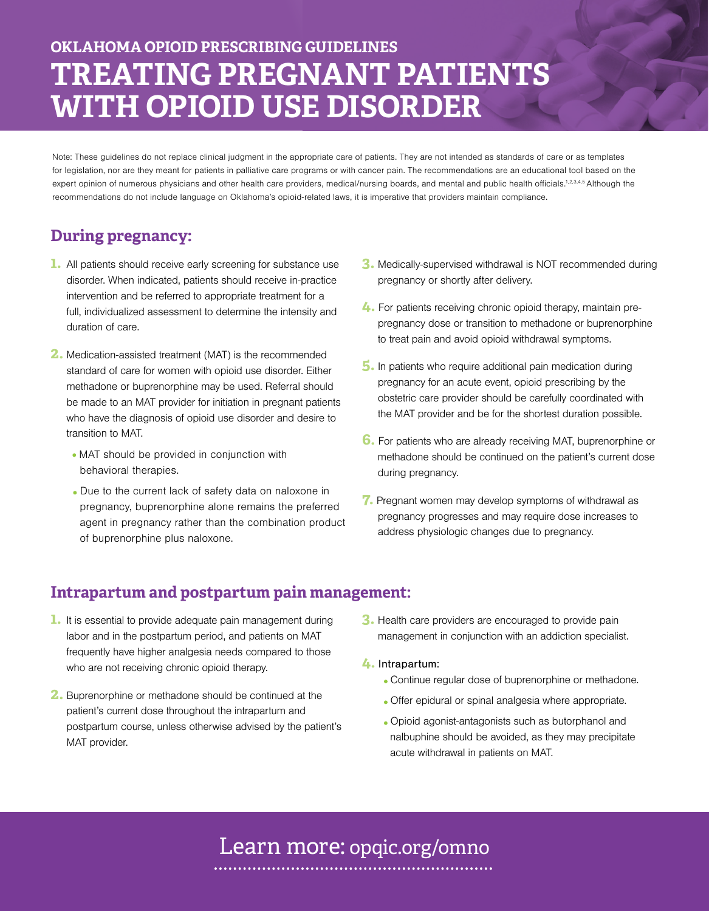# **OKLAHOMA OPIOID PRESCRIBING GUIDELINES TREATING PREGNANT PATIENTS WITH OPIOID USE DISORDER**

Note: These guidelines do not replace clinical judgment in the appropriate care of patients. They are not intended as standards of care or as templates for legislation, nor are they meant for patients in palliative care programs or with cancer pain. The recommendations are an educational tool based on the expert opinion of numerous physicians and other health care providers, medical/nursing boards, and mental and public health officials.<sup>1,2,3,4,5</sup> Although the recommendations do not include language on Oklahoma's opioid-related laws, it is imperative that providers maintain compliance.

### **During pregnancy:**

- **1.** All patients should receive early screening for substance use disorder. When indicated, patients should receive in-practice intervention and be referred to appropriate treatment for a full, individualized assessment to determine the intensity and duration of care.
- **2.** Medication-assisted treatment (MAT) is the recommended standard of care for women with opioid use disorder. Either methadone or buprenorphine may be used. Referral should be made to an MAT provider for initiation in pregnant patients who have the diagnosis of opioid use disorder and desire to transition to MAT.
	- MAT should be provided in conjunction with behavioral therapies.
	- Due to the current lack of safety data on naloxone in pregnancy, buprenorphine alone remains the preferred agent in pregnancy rather than the combination product of buprenorphine plus naloxone.
- **3.** Medically-supervised withdrawal is NOT recommended during pregnancy or shortly after delivery.
- **4.** For patients receiving chronic opioid therapy, maintain prepregnancy dose or transition to methadone or buprenorphine to treat pain and avoid opioid withdrawal symptoms.
- **5.** In patients who require additional pain medication during pregnancy for an acute event, opioid prescribing by the obstetric care provider should be carefully coordinated with the MAT provider and be for the shortest duration possible.
- **6.** For patients who are already receiving MAT, buprenorphine or methadone should be continued on the patient's current dose during pregnancy.
- **7.** Pregnant women may develop symptoms of withdrawal as pregnancy progresses and may require dose increases to address physiologic changes due to pregnancy.

### **Intrapartum and postpartum pain management:**

- **1.** It is essential to provide adequate pain management during labor and in the postpartum period, and patients on MAT frequently have higher analgesia needs compared to those who are not receiving chronic opioid therapy.
- **2.** Buprenorphine or methadone should be continued at the patient's current dose throughout the intrapartum and postpartum course, unless otherwise advised by the patient's MAT provider.
- **3.** Health care providers are encouraged to provide pain management in conjunction with an addiction specialist.
- **4.** Intrapartum:
	- Continue regular dose of buprenorphine or methadone.
	- Offer epidural or spinal analgesia where appropriate.
	- Opioid agonist-antagonists such as butorphanol and nalbuphine should be avoided, as they may precipitate acute withdrawal in patients on MAT.

## Learn more: opqic.org/omno